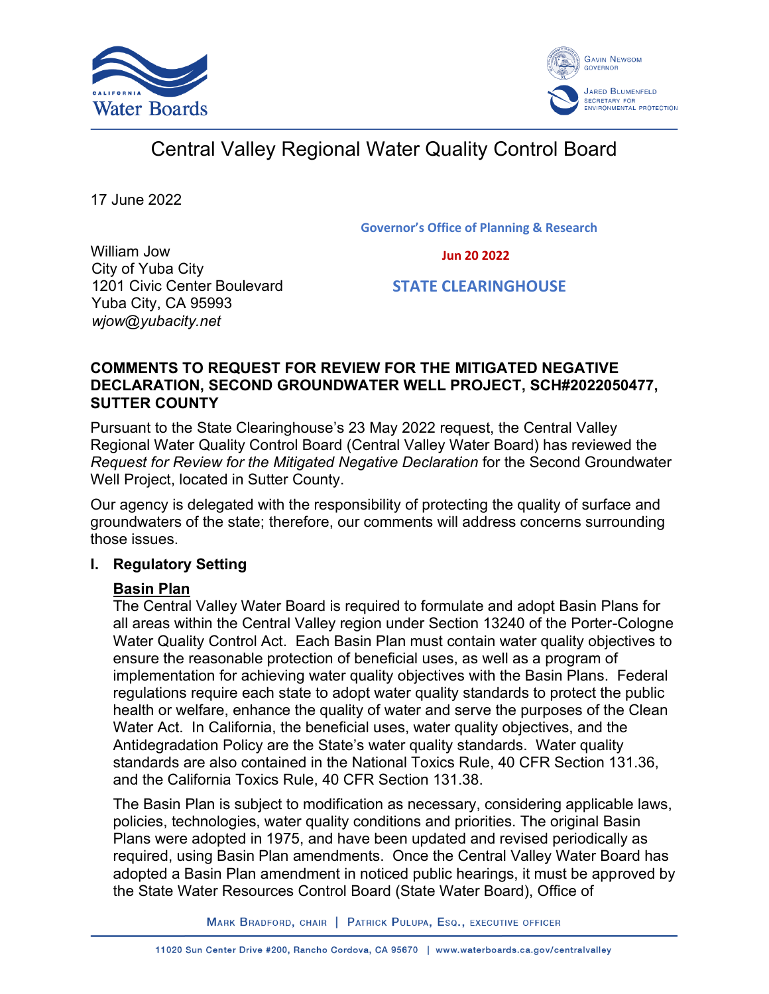



# Central Valley Regional Water Quality Control Board

17 June 2022

**Governor's Office of Planning & Research**

 **Jun 20 2022**

William Jow City of Yuba City 1201 Civic Center Boulevard Yuba City, CA 95993 *wjow@yubacity.net*

 **STATE CLEARINGHOUSE**

## **COMMENTS TO REQUEST FOR REVIEW FOR THE MITIGATED NEGATIVE DECLARATION, SECOND GROUNDWATER WELL PROJECT, SCH#2022050477, SUTTER COUNTY**

Pursuant to the State Clearinghouse's 23 May 2022 request, the Central Valley Regional Water Quality Control Board (Central Valley Water Board) has reviewed the *Request for Review for the Mitigated Negative Declaration* for the Second Groundwater Well Project, located in Sutter County.

Our agency is delegated with the responsibility of protecting the quality of surface and groundwaters of the state; therefore, our comments will address concerns surrounding those issues.

# **I. Regulatory Setting**

# **Basin Plan**

The Central Valley Water Board is required to formulate and adopt Basin Plans for all areas within the Central Valley region under Section 13240 of the Porter-Cologne Water Quality Control Act. Each Basin Plan must contain water quality objectives to ensure the reasonable protection of beneficial uses, as well as a program of implementation for achieving water quality objectives with the Basin Plans. Federal regulations require each state to adopt water quality standards to protect the public health or welfare, enhance the quality of water and serve the purposes of the Clean Water Act. In California, the beneficial uses, water quality objectives, and the Antidegradation Policy are the State's water quality standards. Water quality standards are also contained in the National Toxics Rule, 40 CFR Section 131.36, and the California Toxics Rule, 40 CFR Section 131.38.

The Basin Plan is subject to modification as necessary, considering applicable laws, policies, technologies, water quality conditions and priorities. The original Basin Plans were adopted in 1975, and have been updated and revised periodically as required, using Basin Plan amendments. Once the Central Valley Water Board has adopted a Basin Plan amendment in noticed public hearings, it must be approved by the State Water Resources Control Board (State Water Board), Office of

MARK BRADFORD, CHAIR | PATRICK PULUPA, ESQ., EXECUTIVE OFFICER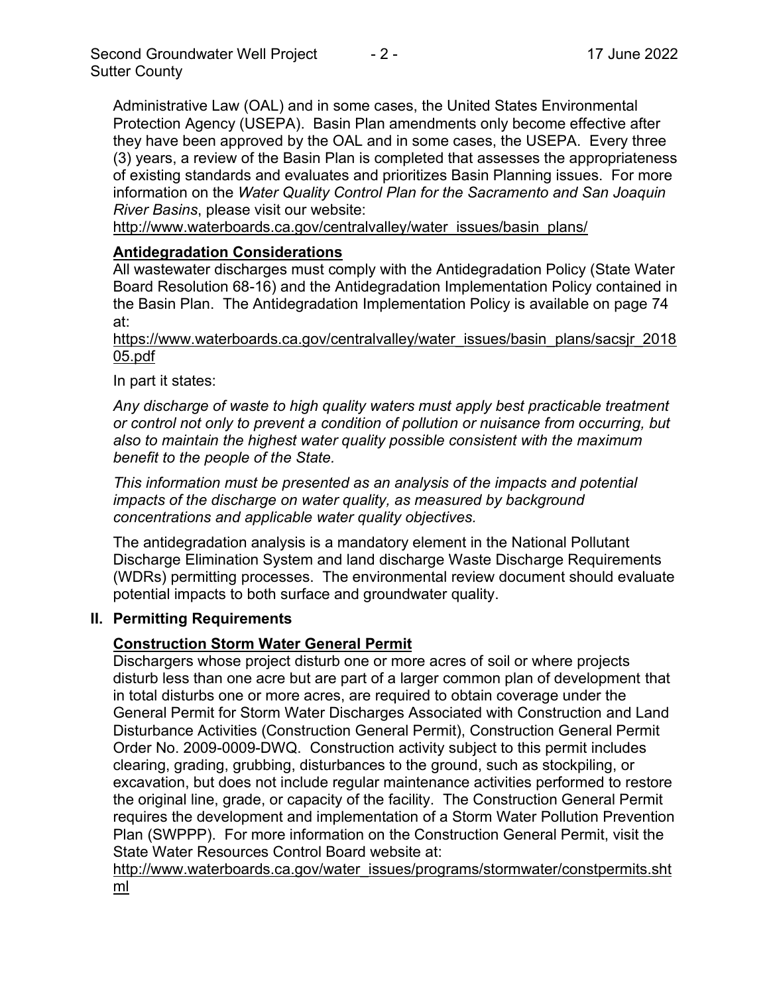Administrative Law (OAL) and in some cases, the United States Environmental Protection Agency (USEPA). Basin Plan amendments only become effective after they have been approved by the OAL and in some cases, the USEPA. Every three (3) years, a review of the Basin Plan is completed that assesses the appropriateness of existing standards and evaluates and prioritizes Basin Planning issues. For more information on the *Water Quality Control Plan for the Sacramento and San Joaquin River Basins*, please visit our website:

[http://www.waterboards.ca.gov/centralvalley/water\\_issues/basin\\_plans/](http://www.waterboards.ca.gov/centralvalley/water_issues/basin_plans/)

# **Antidegradation Considerations**

All wastewater discharges must comply with the Antidegradation Policy (State Water Board Resolution 68-16) and the Antidegradation Implementation Policy contained in the Basin Plan. The Antidegradation Implementation Policy is available on page 74 at:

https://www.waterboards.ca.gov/centralvalley/water\_issues/basin\_plans/sacsjr\_2018 05.pdf

In part it states:

*Any discharge of waste to high quality waters must apply best practicable treatment or control not only to prevent a condition of pollution or nuisance from occurring, but also to maintain the highest water quality possible consistent with the maximum benefit to the people of the State.*

*This information must be presented as an analysis of the impacts and potential impacts of the discharge on water quality, as measured by background concentrations and applicable water quality objectives.*

The antidegradation analysis is a mandatory element in the National Pollutant Discharge Elimination System and land discharge Waste Discharge Requirements (WDRs) permitting processes. The environmental review document should evaluate potential impacts to both surface and groundwater quality.

## **II. Permitting Requirements**

# **Construction Storm Water General Permit**

Dischargers whose project disturb one or more acres of soil or where projects disturb less than one acre but are part of a larger common plan of development that in total disturbs one or more acres, are required to obtain coverage under the General Permit for Storm Water Discharges Associated with Construction and Land Disturbance Activities (Construction General Permit), Construction General Permit Order No. 2009-0009-DWQ. Construction activity subject to this permit includes clearing, grading, grubbing, disturbances to the ground, such as stockpiling, or excavation, but does not include regular maintenance activities performed to restore the original line, grade, or capacity of the facility. The Construction General Permit requires the development and implementation of a Storm Water Pollution Prevention Plan (SWPPP). For more information on the Construction General Permit, visit the State Water Resources Control Board website at:

[http://www.waterboards.ca.gov/water\\_issues/programs/stormwater/constpermits.sht](http://www.waterboards.ca.gov/water_issues/programs/stormwater/constpermits.shtml) [ml](http://www.waterboards.ca.gov/water_issues/programs/stormwater/constpermits.shtml)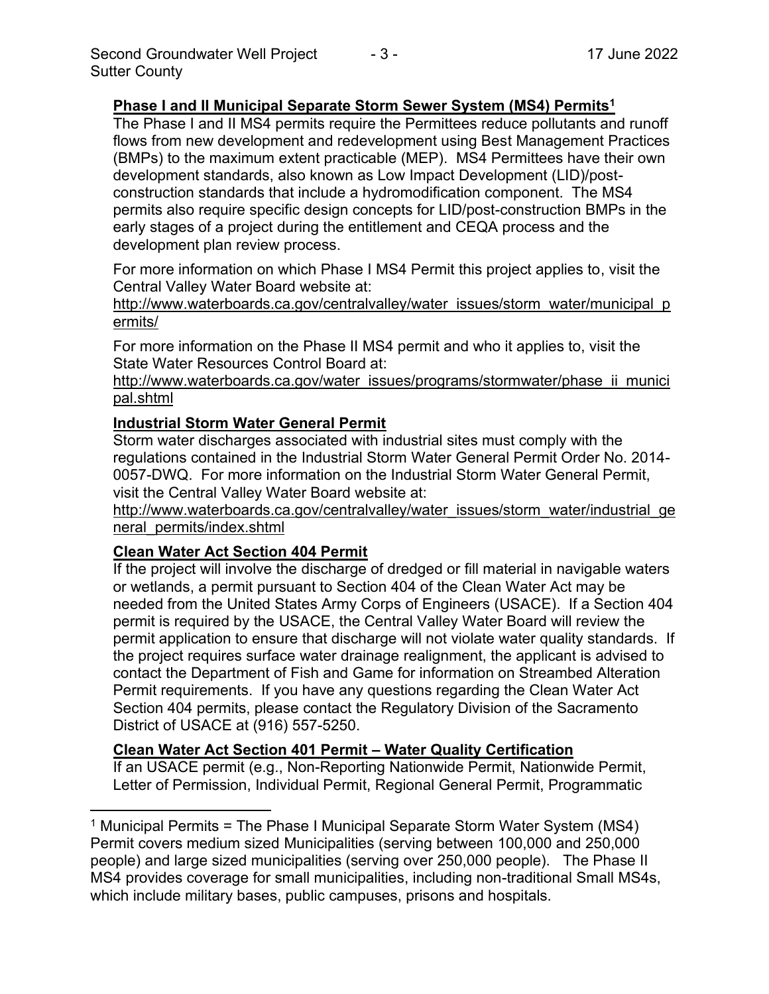## **Phase I and II Municipal Separate Storm Sewer System (MS4) Permits<sup>1</sup>**

The Phase I and II MS4 permits require the Permittees reduce pollutants and runoff flows from new development and redevelopment using Best Management Practices (BMPs) to the maximum extent practicable (MEP). MS4 Permittees have their own development standards, also known as Low Impact Development (LID)/postconstruction standards that include a hydromodification component. The MS4 permits also require specific design concepts for LID/post-construction BMPs in the early stages of a project during the entitlement and CEQA process and the development plan review process.

For more information on which Phase I MS4 Permit this project applies to, visit the Central Valley Water Board website at:

http://www.waterboards.ca.gov/centralvalley/water\_issues/storm\_water/municipal\_p ermits/

For more information on the Phase II MS4 permit and who it applies to, visit the State Water Resources Control Board at:

http://www.waterboards.ca.gov/water\_issues/programs/stormwater/phase\_ii\_munici pal.shtml

#### **Industrial Storm Water General Permit**

Storm water discharges associated with industrial sites must comply with the regulations contained in the Industrial Storm Water General Permit Order No. 2014- 0057-DWQ. For more information on the Industrial Storm Water General Permit, visit the Central Valley Water Board website at:

http://www.waterboards.ca.gov/centralvalley/water\_issues/storm\_water/industrial\_ge neral\_permits/index.shtml

## **Clean Water Act Section 404 Permit**

If the project will involve the discharge of dredged or fill material in navigable waters or wetlands, a permit pursuant to Section 404 of the Clean Water Act may be needed from the United States Army Corps of Engineers (USACE). If a Section 404 permit is required by the USACE, the Central Valley Water Board will review the permit application to ensure that discharge will not violate water quality standards. If the project requires surface water drainage realignment, the applicant is advised to contact the Department of Fish and Game for information on Streambed Alteration Permit requirements. If you have any questions regarding the Clean Water Act Section 404 permits, please contact the Regulatory Division of the Sacramento District of USACE at (916) 557-5250.

## **Clean Water Act Section 401 Permit – Water Quality Certification**

If an USACE permit (e.g., Non-Reporting Nationwide Permit, Nationwide Permit, Letter of Permission, Individual Permit, Regional General Permit, Programmatic

<sup>&</sup>lt;sup>1</sup> Municipal Permits = The Phase I Municipal Separate Storm Water System (MS4) Permit covers medium sized Municipalities (serving between 100,000 and 250,000 people) and large sized municipalities (serving over 250,000 people). The Phase II MS4 provides coverage for small municipalities, including non-traditional Small MS4s, which include military bases, public campuses, prisons and hospitals.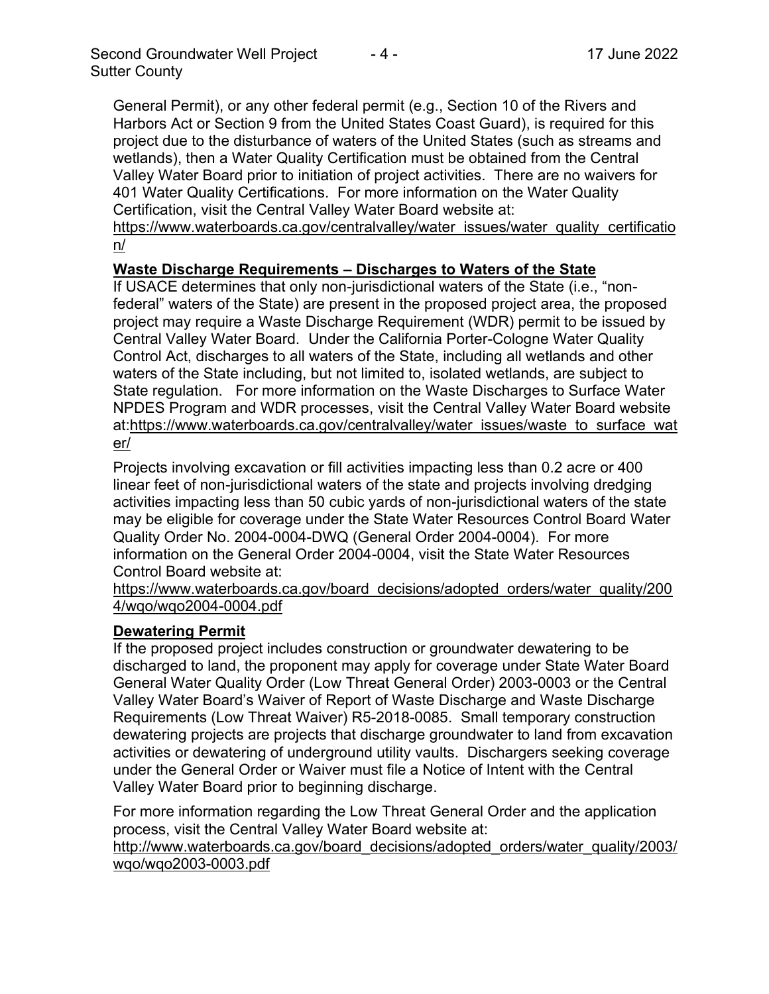General Permit), or any other federal permit (e.g., Section 10 of the Rivers and Harbors Act or Section 9 from the United States Coast Guard), is required for this project due to the disturbance of waters of the United States (such as streams and wetlands), then a Water Quality Certification must be obtained from the Central Valley Water Board prior to initiation of project activities. There are no waivers for 401 Water Quality Certifications. For more information on the Water Quality Certification, visit the Central Valley Water Board website at:

https://www.waterboards.ca.gov/centralvalley/water\_issues/water\_quality\_certificatio n/

# **Waste Discharge Requirements – Discharges to Waters of the State**

If USACE determines that only non-jurisdictional waters of the State (i.e., "nonfederal" waters of the State) are present in the proposed project area, the proposed project may require a Waste Discharge Requirement (WDR) permit to be issued by Central Valley Water Board. Under the California Porter-Cologne Water Quality Control Act, discharges to all waters of the State, including all wetlands and other waters of the State including, but not limited to, isolated wetlands, are subject to State regulation. For more information on the Waste Discharges to Surface Water NPDES Program and WDR processes, visit the Central Valley Water Board website at:https://www.waterboards.ca.gov/centralvalley/water\_issues/waste\_to\_surface\_wat er/

Projects involving excavation or fill activities impacting less than 0.2 acre or 400 linear feet of non-jurisdictional waters of the state and projects involving dredging activities impacting less than 50 cubic yards of non-jurisdictional waters of the state may be eligible for coverage under the State Water Resources Control Board Water Quality Order No. 2004-0004-DWQ (General Order 2004-0004). For more information on the General Order 2004-0004, visit the State Water Resources Control Board website at:

https://www.waterboards.ca.gov/board\_decisions/adopted\_orders/water\_quality/200 4/wqo/wqo2004-0004.pdf

## **Dewatering Permit**

If the proposed project includes construction or groundwater dewatering to be discharged to land, the proponent may apply for coverage under State Water Board General Water Quality Order (Low Threat General Order) 2003-0003 or the Central Valley Water Board's Waiver of Report of Waste Discharge and Waste Discharge Requirements (Low Threat Waiver) R5-2018-0085. Small temporary construction dewatering projects are projects that discharge groundwater to land from excavation activities or dewatering of underground utility vaults. Dischargers seeking coverage under the General Order or Waiver must file a Notice of Intent with the Central Valley Water Board prior to beginning discharge.

For more information regarding the Low Threat General Order and the application process, visit the Central Valley Water Board website at:

http://www.waterboards.ca.gov/board decisions/adopted orders/water quality/2003/ wqo/wqo2003-0003.pdf